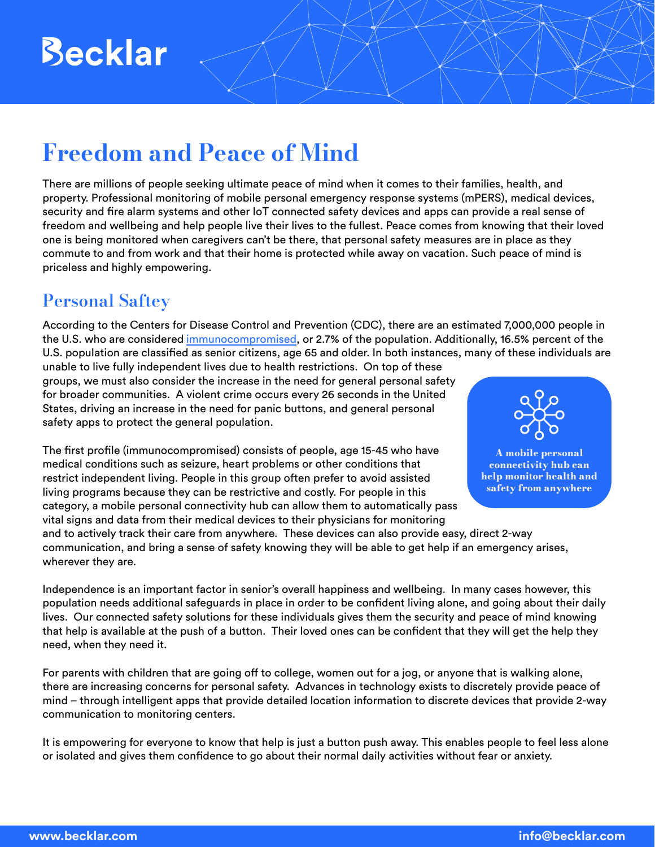# **Becklar**

# Freedom and Peace of Mind

There are millions of people seeking ultimate peace of mind when it comes to their families, health, and property. Professional monitoring of mobile personal emergency response systems (mPERS), medical devices, security and fire alarm systems and other IoT connected safety devices and apps can provide a real sense of freedom and wellbeing and help people live their lives to the fullest. Peace comes from knowing that their loved one is being monitored when caregivers can't be there, that personal safety measures are in place as they commute to and from work and that their home is protected while away on vacation. Such peace of mind is priceless and highly empowering.

## Personal Saftey

According to the Centers for Disease Control and Prevention (CDC), there are an estimated 7,000,000 people in the U.S. who are considered [immunocompromised,](https://www.washingtonpost.com/health/2021/08/12/immunocompromised-coronavirus-booster-what-to-know/) or 2.7% of the population. Additionally, 16.5% percent of the U.S. population are classified as senior citizens, age 65 and older. In both instances, many of these individuals are

unable to live fully independent lives due to health restrictions. On top of these groups, we must also consider the increase in the need for general personal safety for broader communities. A violent crime occurs every 26 seconds in the United States, driving an increase in the need for panic buttons, and general personal safety apps to protect the general population.

The first profile (immunocompromised) consists of people, age 15-45 who have medical conditions such as seizure, heart problems or other conditions that restrict independent living. People in this group often prefer to avoid assisted living programs because they can be restrictive and costly. For people in this category, a mobile personal connectivity hub can allow them to automatically pass vital signs and data from their medical devices to their physicians for monitoring



connectivity hub can help monitor health and safety from anywhere

and to actively track their care from anywhere. These devices can also provide easy, direct 2-way communication, and bring a sense of safety knowing they will be able to get help if an emergency arises, wherever they are.

Independence is an important factor in senior's overall happiness and wellbeing. In many cases however, this population needs additional safeguards in place in order to be confident living alone, and going about their daily lives. Our connected safety solutions for these individuals gives them the security and peace of mind knowing that help is available at the push of a button. Their loved ones can be confident that they will get the help they need, when they need it.

For parents with children that are going off to college, women out for a jog, or anyone that is walking alone, there are increasing concerns for personal safety. Advances in technology exists to discretely provide peace of mind – through intelligent apps that provide detailed location information to discrete devices that provide 2-way communication to monitoring centers.

It is empowering for everyone to know that help is just a button push away. This enables people to feel less alone or isolated and gives them confidence to go about their normal daily activities without fear or anxiety.